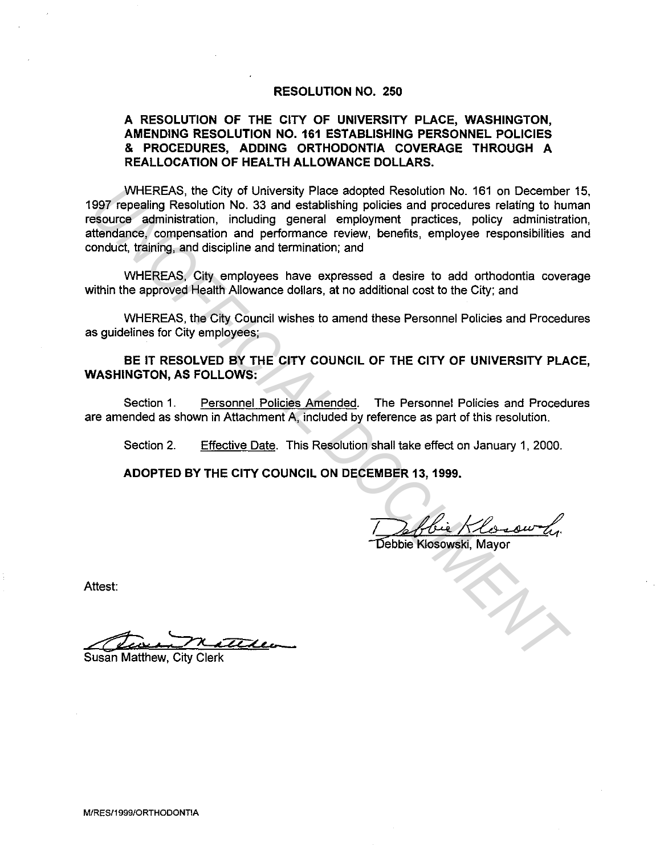#### **RESOLUTION NO. 250**

# **A RESOLUTION OF THE CITY OF UNIVERSITY PLACE, WASHINGTON, AMENDING RESOLUTION NO. 161 ESTABLISHING PERSONNEL POLICIES**  & **PROCEDURES, ADDING ORTHODONTIA COVERAGE THROUGH A REALLOCATION OF HEALTH ALLOWANCE DOLLARS.**

WHEREAS, the City of University Place adopted Resolution No. 161 on December 15, 1997 repealing Resolution No. 33 and establishing policies and procedures relating to human resource administration, including general employment practices, policy administration, attendance, compensation and performance review, benefits, employee responsibilities and conduct, training, and discipline and termination; and WHEREAS, the City of University Place adopted Resionation No. 181 on December<br>1997 repealing Resolution No. 33 and establishing policies and procedures relating to hure<br>securce administration, including general employment

WHEREAS, City employees have expressed a desire to add orthodontia coverage within the approved Health Allowance dollars, at no additional cost to the City; and

WHEREAS, the City Council wishes to amend these Personnel Policies and Procedures as guidelines for City employees;

**BE IT RESOLVED BY THE CITY COUNCIL OF THE CITY OF UNIVERSITY PLACE, WASHINGTON, AS FOLLOWS:** 

Section 1. Personnel Policies Amended. The Personnel Policies and Procedures are amended as shown in Attachment A, included by reference as part of this resolution.

Section 2. Effective Date. This Resolution shall take effect on January 1, 2000.

**ADOPTED BY THE CITY COUNCIL ON DECEMBER 13, 1999.** 

Deffbie Klosowski, Mayor

Attest:

team matthews

Susan Matthew, City Clerk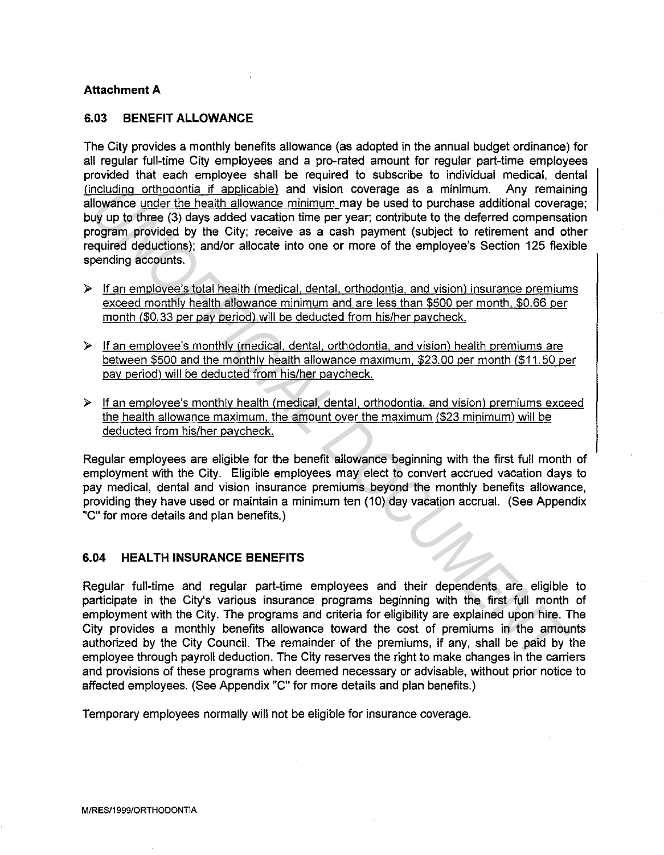## **Attachment A**

# **6.03 BENEFIT ALLOWANCE**

The City provides a monthly benefits allowance (as adopted in the annual budget ordinance) for all regular full-time City employees and a pro-rated amount for regular part-time employees provided that each employee shall be required to subscribe to individual medical, dental (including orthodontia if applicable) and vision coverage as a minimum. Any remaining allowance under the health allowance minimum may be used to purchase additional coverage; buy up to three (3) days added vacation time per year; contribute to the deferred compensation program provided by the City; receive as a cash payment (subject to retirement and other required deductions); and/or allocate into one or more of the employee's Section 125 flexible spending accounts.

- $\triangleright$  If an employee's total health (medical, dental, orthodontia, and vision) insurance premiums exceed monthly health allowance minimum and are less than \$500 per month. \$0.66 per month (\$0. 33 per pay period) will be deducted from his/her paycheck.
- !> If an employee's monthly (medical, dental, orthodontia, and vision) health premiums are between \$500 and the monthly health allowance maximum. \$23.00 per month (\$11.50 per pay period) will be deducted from his/her paycheck.
- $\triangleright$  If an employee's monthly health (medical, dental, orthodontia, and vision) premiums exceed the health allowance maximum, the amount over the maximum (\$23 minimum) will be deducted from his/her paycheck.

Regular employees are eligible for the benefit allowance beginning with the first full month of employment with the City. Eligible employees may elect to convert accrued vacation days to pay medical, dental and vision insurance premiums beyond the monthly benefits allowance, providing they have used or maintain a minimum ten (10) day vacation accrual. (See Appendix "C" for more details and plan benefits.)

### **6.04 HEAL TH INSURANCE BENEFITS**

Regular full-time and regular part-time employees and their dependents are eligible to participate in the City's various insurance programs beginning with the first full month of employment with the City. The programs and criteria for eligibility are explained upon hire. The City provides a monthly benefits allowance toward the cost of premiums in the amounts authorized by the City Council. The remainder of the premiums, if any, shall be paid by the employee through payroll deduction. The City reserves the right to make changes in the carriers and provisions of these programs when deemed necessary or advisable, without prior notice to affected employees. (See Appendix "C" for more details and plan benefits.) nollaling of three (3) days added vacation and vision coverage as a minimum. Any remain of the productional covera<br> *Ulowance* under the health allowance minimum may be used to purchase additional covera<br> *Ulowance* under

Temporary employees normally will not be eligible for insurance coverage.